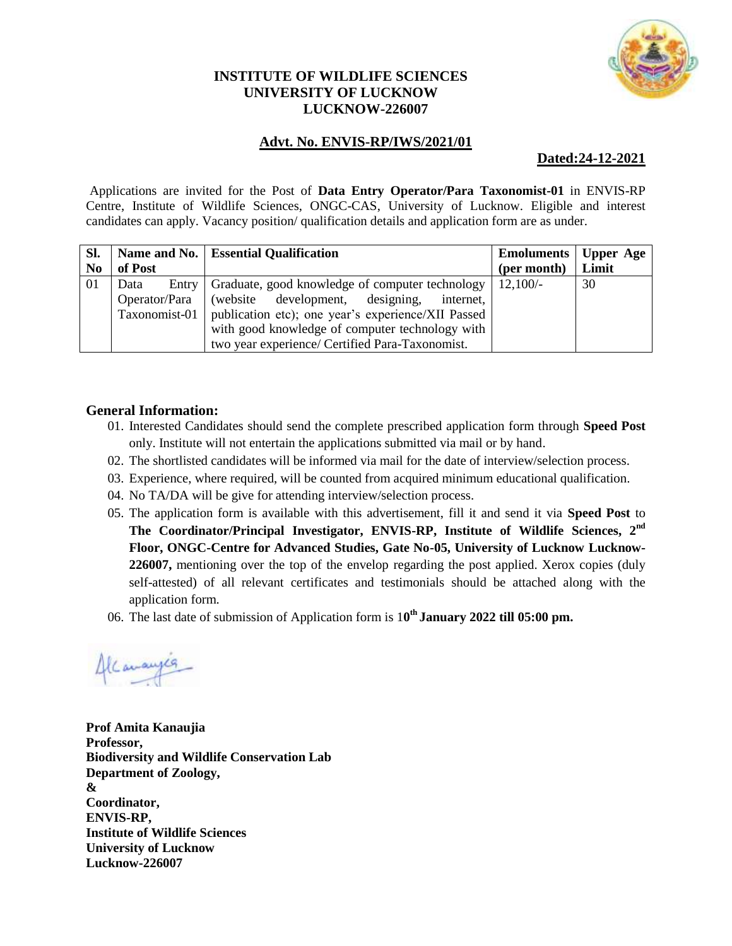

## **INSTITUTE OF WILDLIFE SCIENCES UNIVERSITY OF LUCKNOW LUCKNOW-226007**

## **Advt. No. ENVIS-RP/IWS/2021/01**

### **Dated:24-12-2021**

Applications are invited for the Post of **Data Entry Operator/Para Taxonomist-01** in ENVIS-RP Centre, Institute of Wildlife Sciences, ONGC-CAS, University of Lucknow. Eligible and interest candidates can apply. Vacancy position/ qualification details and application form are as under.

| Sl.            |                                                                     | Name and No.   Essential Qualification          | <b>Emoluments</b> | Upper Age |
|----------------|---------------------------------------------------------------------|-------------------------------------------------|-------------------|-----------|
| N <sub>0</sub> | of Post                                                             |                                                 | (per month)       | Limit     |
| 01             | Entry<br>Data                                                       | Graduate, good knowledge of computer technology | $12,100/-$        | 30        |
|                | (website development, designing,<br>Operator/Para<br>internet,      |                                                 |                   |           |
|                | publication etc); one year's experience/XII Passed<br>Taxonomist-01 |                                                 |                   |           |
|                | with good knowledge of computer technology with                     |                                                 |                   |           |
|                | two year experience/ Certified Para-Taxonomist.                     |                                                 |                   |           |

### **General Information:**

- 01. Interested Candidates should send the complete prescribed application form through **Speed Post**  only. Institute will not entertain the applications submitted via mail or by hand.
- 02. The shortlisted candidates will be informed via mail for the date of interview/selection process.
- 03. Experience, where required, will be counted from acquired minimum educational qualification.
- 04. No TA/DA will be give for attending interview/selection process.
- 05. The application form is available with this advertisement, fill it and send it via **Speed Post** to **The Coordinator/Principal Investigator, ENVIS-RP, Institute of Wildlife Sciences, 2nd Floor, ONGC-Centre for Advanced Studies, Gate No-05, University of Lucknow Lucknow-226007,** mentioning over the top of the envelop regarding the post applied. Xerox copies (duly self-attested) of all relevant certificates and testimonials should be attached along with the application form.
- 06. The last date of submission of Application form is 1**0 th January 2022 till 05:00 pm.**

Canauge

**Prof Amita Kanaujia Professor, Biodiversity and Wildlife Conservation Lab Department of Zoology, & Coordinator, ENVIS-RP, Institute of Wildlife Sciences University of Lucknow Lucknow-226007**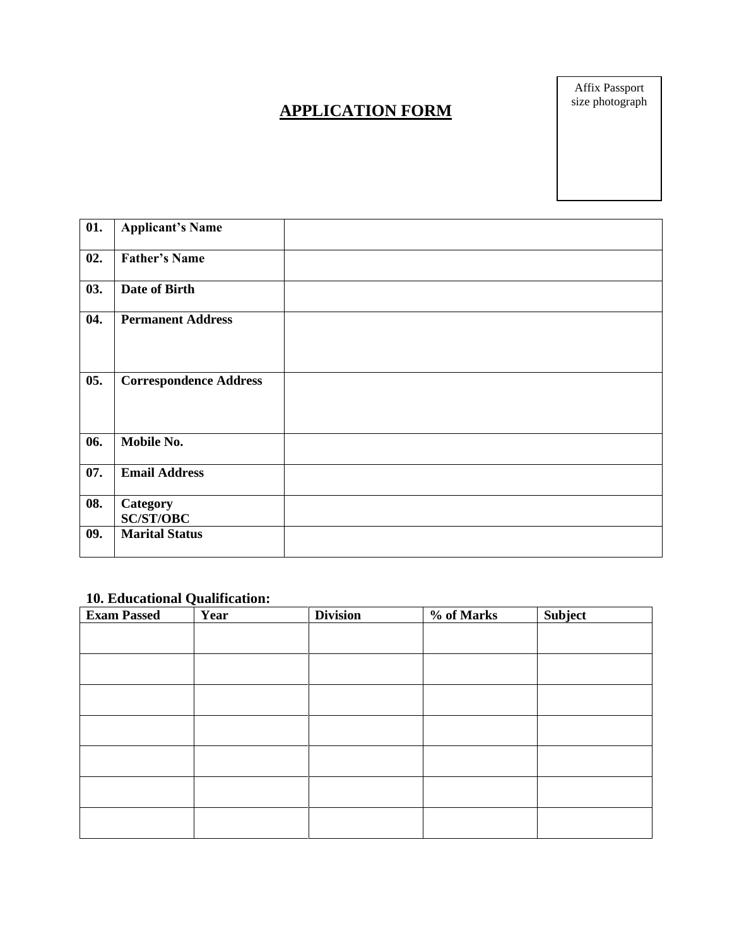# **APPLICATION FORM**

Affix Passport size photograph

| 01. | <b>Applicant's Name</b>       |  |
|-----|-------------------------------|--|
| 02. | <b>Father's Name</b>          |  |
| 03. | Date of Birth                 |  |
| 04. | <b>Permanent Address</b>      |  |
| 05. | <b>Correspondence Address</b> |  |
| 06. | Mobile No.                    |  |
| 07. | <b>Email Address</b>          |  |
| 08. | Category<br><b>SC/ST/OBC</b>  |  |
| 09. | <b>Marital Status</b>         |  |

## **10. Educational Qualification:**

| <b>Exam Passed</b> | Year | <b>Division</b> | % of Marks | Subject |
|--------------------|------|-----------------|------------|---------|
|                    |      |                 |            |         |
|                    |      |                 |            |         |
|                    |      |                 |            |         |
|                    |      |                 |            |         |
|                    |      |                 |            |         |
|                    |      |                 |            |         |
|                    |      |                 |            |         |
|                    |      |                 |            |         |
|                    |      |                 |            |         |
|                    |      |                 |            |         |
|                    |      |                 |            |         |
|                    |      |                 |            |         |
|                    |      |                 |            |         |
|                    |      |                 |            |         |